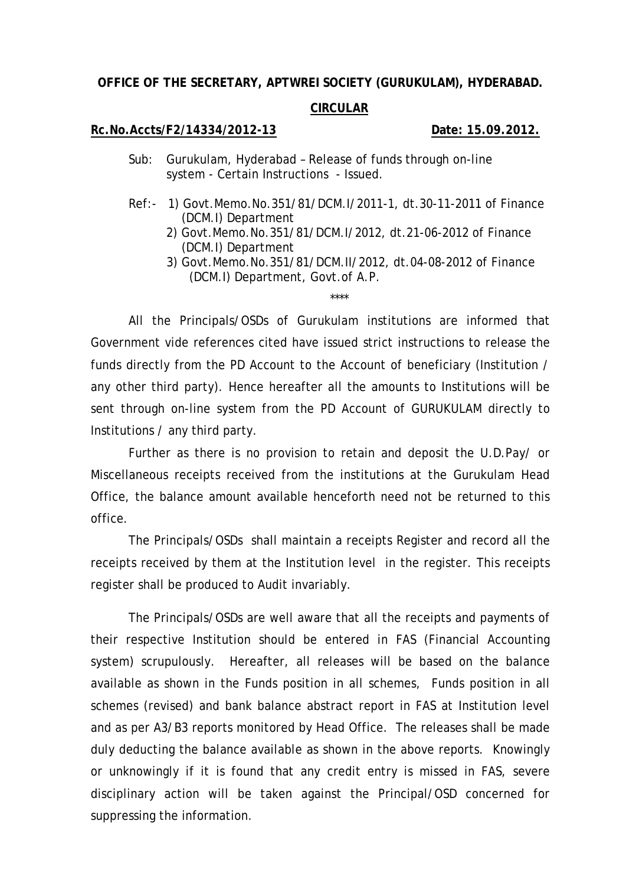## **OFFICE OF THE SECRETARY, APTWREI SOCIETY (GURUKULAM), HYDERABAD.**

## **CIRCULAR**

## **Rc.No.Accts/F2/14334/2012-13 Date: 15.09.2012.**

- Sub: Gurukulam, Hyderabad Release of funds through on-line system - Certain Instructions - Issued.
- Ref:- 1) Govt.Memo.No.351/81/DCM.I/2011-1, dt.30-11-2011 of Finance (DCM.I) Department
	- 2) Govt.Memo.No.351/81/DCM.I/2012, dt.21-06-2012 of Finance (DCM.I) Department
	- 3) Govt.Memo.No.351/81/DCM.II/2012, dt.04-08-2012 of Finance (DCM.I) Department, Govt.of A.P.

\*\*\*\*

All the Principals/OSDs of Gurukulam institutions are informed that Government vide references cited have issued strict instructions to release the funds directly from the PD Account to the Account of beneficiary (Institution / any other third party). Hence hereafter all the amounts to Institutions will be sent through on-line system from the PD Account of GURUKULAM directly to Institutions / any third party.

Further as there is no provision to retain and deposit the U.D.Pay/ or Miscellaneous receipts received from the institutions at the Gurukulam Head Office, the balance amount available henceforth need not be returned to this office.

The Principals/OSDs shall maintain a receipts Register and record all the receipts received by them at the Institution level in the register. This receipts register shall be produced to Audit invariably.

The Principals/OSDs are well aware that all the receipts and payments of their respective Institution should be entered in FAS (Financial Accounting system) scrupulously. Hereafter, all releases will be based on the balance available as shown in the Funds position in all schemes, Funds position in all schemes (revised) and bank balance abstract report in FAS at Institution level and as per A3/B3 reports monitored by Head Office. The releases shall be made duly deducting the balance available as shown in the above reports. Knowingly or unknowingly if it is found that any credit entry is missed in FAS, severe disciplinary action will be taken against the Principal/OSD concerned for suppressing the information.